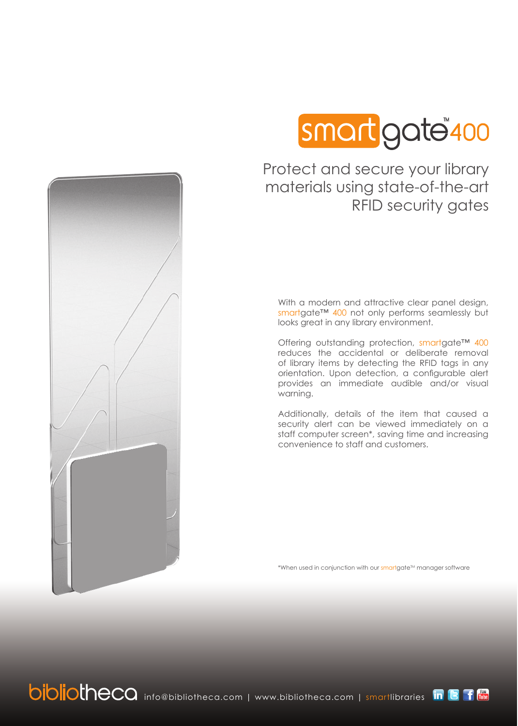

# gate 400

Protect and secure your library materials using state-of-the-art RFID security gates

With a modern and attractive clear panel design, smartgate™ 400 not only performs seamlessly but looks great in any library environment.

Offering outstanding protection, smartgate™ 400 reduces the accidental or deliberate removal of library items by detecting the RFID tags in any orientation. Upon detection, a configurable alert provides an immediate audible and/or visual warning.

Additionally, details of the item that caused a security alert can be viewed immediately on a staff computer screen\*, saving time and increasing convenience to staff and customers.

\*When used in conjunction with our smartgate<sup>TM</sup> manager software

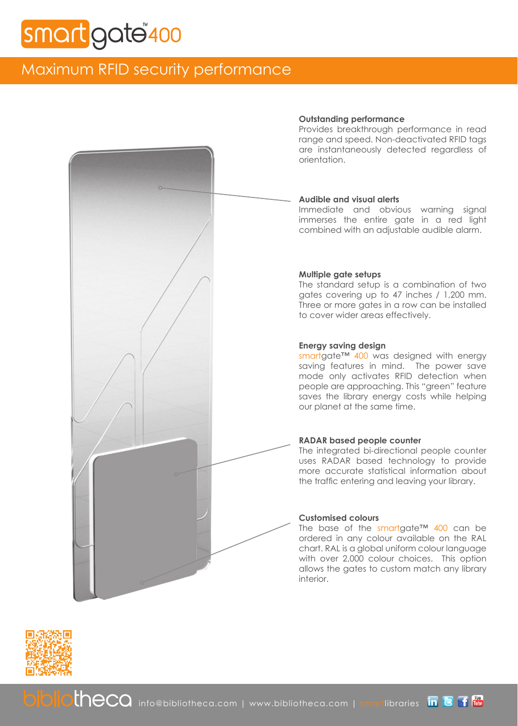## gate<sup>"</sup>400

## Maximum RFID security performance

## **Outstanding performance**

Provides breakthrough performance in read range and speed. Non-deactivated RFID tags are instantaneously detected regardless of orientation.

## **Audible and visual alerts**

Immediate and obvious warning signal immerses the entire gate in a red light combined with an adjustable audible alarm.

## **Multiple gate setups**

The standard setup is a combination of two gates covering up to 47 inches / 1,200 mm. Three or more gates in a row can be installed to cover wider areas effectively.

## **Energy saving design**

smartgate™ 400 was designed with energy saving features in mind. The power save mode only activates RFID detection when people are approaching. This "green" feature saves the library energy costs while helping our planet at the same time.

## **RADAR based people counter**

The integrated bi-directional people counter uses RADAR based technology to provide more accurate statistical information about the traffic entering and leaving your library.

## **Customised colours**

The base of the smartgate™ 400 can be ordered in any colour available on the RAL chart. RAL is a global uniform colour language with over 2,000 colour choices. This option allows the gates to custom match any library interior.